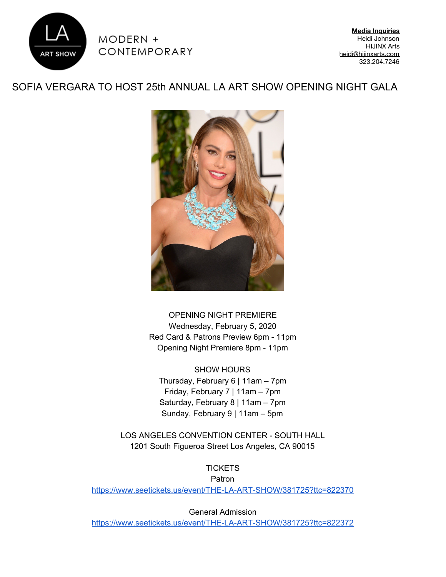

 $MODERN +$ CONTEMPORARY

**Media Inquiries** Heidi Johnson HIJINX Arts [heidi@hijinxarts.com](mailto:heidi@thinkhijinx.com) 323.204.7246

## SOFIA VERGARA TO HOST 25th ANNUAL LA ART SHOW OPENING NIGHT GALA



OPENING NIGHT PREMIERE Wednesday, February 5, 2020 Red Card & Patrons Preview 6pm - 11pm Opening Night Premiere 8pm - 11pm

SHOW HOURS Thursday, February 6 | 11am – 7pm Friday, February 7 | 11am – 7pm Saturday, February 8 | 11am – 7pm Sunday, February 9 | 11am – 5pm

LOS ANGELES CONVENTION CENTER - SOUTH HALL 1201 South Figueroa Street Los Angeles, CA 90015

**TICKETS** Patron <https://www.seetickets.us/event/THE-LA-ART-SHOW/381725?ttc=822370>

General Admission

<https://www.seetickets.us/event/THE-LA-ART-SHOW/381725?ttc=822372>